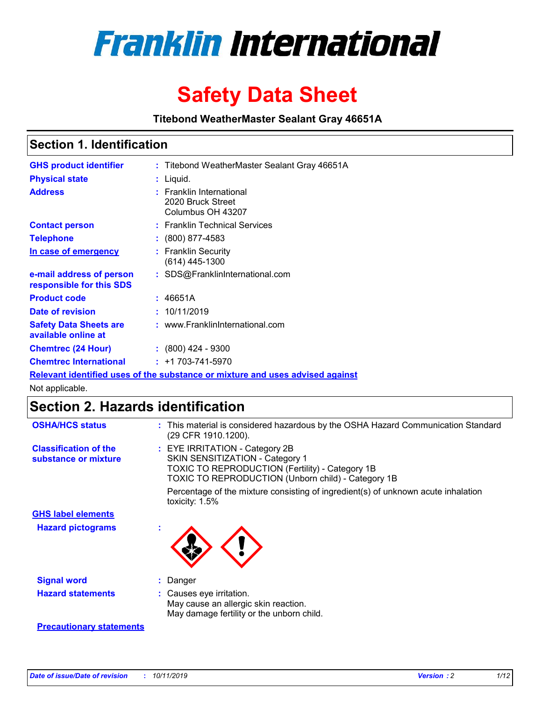

# **Safety Data Sheet**

**Titebond WeatherMaster Sealant Gray 46651A**

### **Section 1. Identification**

| <b>GHS product identifier</b>                        | : Titebond WeatherMaster Sealant Gray 46651A                                  |
|------------------------------------------------------|-------------------------------------------------------------------------------|
| <b>Physical state</b>                                | : Liquid.                                                                     |
| <b>Address</b>                                       | : Franklin International<br>2020 Bruck Street<br>Columbus OH 43207            |
| <b>Contact person</b>                                | : Franklin Technical Services                                                 |
| <b>Telephone</b>                                     | $\colon$ (800) 877-4583                                                       |
| In case of emergency                                 | : Franklin Security<br>(614) 445-1300                                         |
| e-mail address of person<br>responsible for this SDS | : SDS@FranklinInternational.com                                               |
| <b>Product code</b>                                  | : 46651A                                                                      |
| Date of revision                                     | : 10/11/2019                                                                  |
| <b>Safety Data Sheets are</b><br>available online at | : www.FranklinInternational.com                                               |
| <b>Chemtrec (24 Hour)</b>                            | $: (800)$ 424 - 9300                                                          |
| <b>Chemtrec International</b>                        | $: +1703 - 741 - 5970$                                                        |
|                                                      | Relevant identified uses of the substance or mixture and uses advised against |

Not applicable.

## **Section 2. Hazards identification**

| <b>OSHA/HCS status</b>                               | : This material is considered hazardous by the OSHA Hazard Communication Standard<br>(29 CFR 1910.1200).                                                                          |
|------------------------------------------------------|-----------------------------------------------------------------------------------------------------------------------------------------------------------------------------------|
| <b>Classification of the</b><br>substance or mixture | : EYE IRRITATION - Category 2B<br>SKIN SENSITIZATION - Category 1<br><b>TOXIC TO REPRODUCTION (Fertility) - Category 1B</b><br>TOXIC TO REPRODUCTION (Unborn child) - Category 1B |
|                                                      | Percentage of the mixture consisting of ingredient(s) of unknown acute inhalation<br>toxicity: $1.5\%$                                                                            |
| <b>GHS label elements</b>                            |                                                                                                                                                                                   |
| <b>Hazard pictograms</b>                             |                                                                                                                                                                                   |
| <b>Signal word</b>                                   | : Danger                                                                                                                                                                          |
| <b>Hazard statements</b>                             | : Causes eye irritation.<br>May cause an allergic skin reaction.<br>May damage fertility or the unborn child.                                                                     |
| <b>Precautionary statements</b>                      |                                                                                                                                                                                   |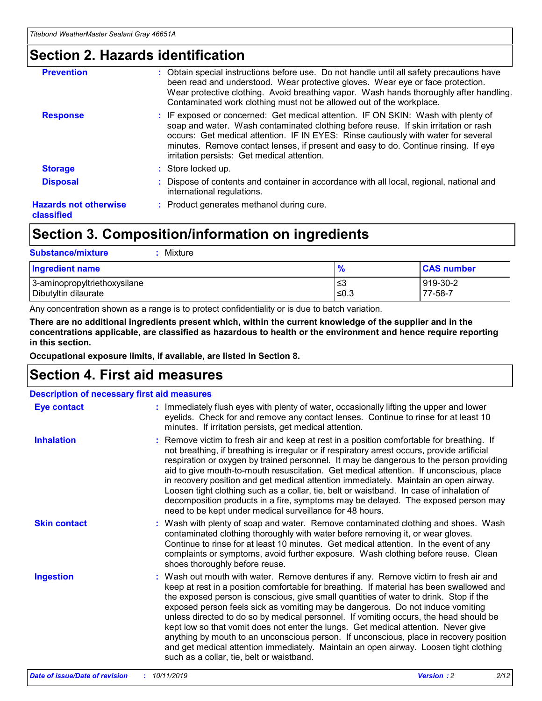### **Section 2. Hazards identification**

| <b>Prevention</b>                          | : Obtain special instructions before use. Do not handle until all safety precautions have<br>been read and understood. Wear protective gloves. Wear eye or face protection.<br>Wear protective clothing. Avoid breathing vapor. Wash hands thoroughly after handling.<br>Contaminated work clothing must not be allowed out of the workplace.                                                        |
|--------------------------------------------|------------------------------------------------------------------------------------------------------------------------------------------------------------------------------------------------------------------------------------------------------------------------------------------------------------------------------------------------------------------------------------------------------|
| <b>Response</b>                            | : IF exposed or concerned: Get medical attention. IF ON SKIN: Wash with plenty of<br>soap and water. Wash contaminated clothing before reuse. If skin irritation or rash<br>occurs: Get medical attention. IF IN EYES: Rinse cautiously with water for several<br>minutes. Remove contact lenses, if present and easy to do. Continue rinsing. If eye<br>irritation persists: Get medical attention. |
| <b>Storage</b>                             | : Store locked up.                                                                                                                                                                                                                                                                                                                                                                                   |
| <b>Disposal</b>                            | : Dispose of contents and container in accordance with all local, regional, national and<br>international regulations.                                                                                                                                                                                                                                                                               |
| <b>Hazards not otherwise</b><br>classified | : Product generates methanol during cure.                                                                                                                                                                                                                                                                                                                                                            |
|                                            |                                                                                                                                                                                                                                                                                                                                                                                                      |

### **Section 3. Composition/information on ingredients**

| <b>Substance/mixture</b><br>Mixture                  |               |                     |
|------------------------------------------------------|---------------|---------------------|
| <b>Ingredient name</b>                               | $\frac{9}{6}$ | <b>CAS number</b>   |
| 3-aminopropyltriethoxysilane<br>Dibutyltin dilaurate | ≤3<br>$≤0.3$  | 919-30-2<br>77-58-7 |

Any concentration shown as a range is to protect confidentiality or is due to batch variation.

**There are no additional ingredients present which, within the current knowledge of the supplier and in the concentrations applicable, are classified as hazardous to health or the environment and hence require reporting in this section.**

**Occupational exposure limits, if available, are listed in Section 8.**

### **Section 4. First aid measures**

| <b>Description of necessary first aid measures</b> |                                                                                                                                                                                                                                                                                                                                                                                                                                                                                                                                                                                                                                                                                                                                                                           |  |  |  |
|----------------------------------------------------|---------------------------------------------------------------------------------------------------------------------------------------------------------------------------------------------------------------------------------------------------------------------------------------------------------------------------------------------------------------------------------------------------------------------------------------------------------------------------------------------------------------------------------------------------------------------------------------------------------------------------------------------------------------------------------------------------------------------------------------------------------------------------|--|--|--|
| <b>Eye contact</b>                                 | : Immediately flush eyes with plenty of water, occasionally lifting the upper and lower<br>eyelids. Check for and remove any contact lenses. Continue to rinse for at least 10<br>minutes. If irritation persists, get medical attention.                                                                                                                                                                                                                                                                                                                                                                                                                                                                                                                                 |  |  |  |
| <b>Inhalation</b>                                  | : Remove victim to fresh air and keep at rest in a position comfortable for breathing. If<br>not breathing, if breathing is irregular or if respiratory arrest occurs, provide artificial<br>respiration or oxygen by trained personnel. It may be dangerous to the person providing<br>aid to give mouth-to-mouth resuscitation. Get medical attention. If unconscious, place<br>in recovery position and get medical attention immediately. Maintain an open airway.<br>Loosen tight clothing such as a collar, tie, belt or waistband. In case of inhalation of<br>decomposition products in a fire, symptoms may be delayed. The exposed person may<br>need to be kept under medical surveillance for 48 hours.                                                       |  |  |  |
| <b>Skin contact</b>                                | : Wash with plenty of soap and water. Remove contaminated clothing and shoes. Wash<br>contaminated clothing thoroughly with water before removing it, or wear gloves.<br>Continue to rinse for at least 10 minutes. Get medical attention. In the event of any<br>complaints or symptoms, avoid further exposure. Wash clothing before reuse. Clean<br>shoes thoroughly before reuse.                                                                                                                                                                                                                                                                                                                                                                                     |  |  |  |
| <b>Ingestion</b>                                   | : Wash out mouth with water. Remove dentures if any. Remove victim to fresh air and<br>keep at rest in a position comfortable for breathing. If material has been swallowed and<br>the exposed person is conscious, give small quantities of water to drink. Stop if the<br>exposed person feels sick as vomiting may be dangerous. Do not induce vomiting<br>unless directed to do so by medical personnel. If vomiting occurs, the head should be<br>kept low so that vomit does not enter the lungs. Get medical attention. Never give<br>anything by mouth to an unconscious person. If unconscious, place in recovery position<br>and get medical attention immediately. Maintain an open airway. Loosen tight clothing<br>such as a collar, tie, belt or waistband. |  |  |  |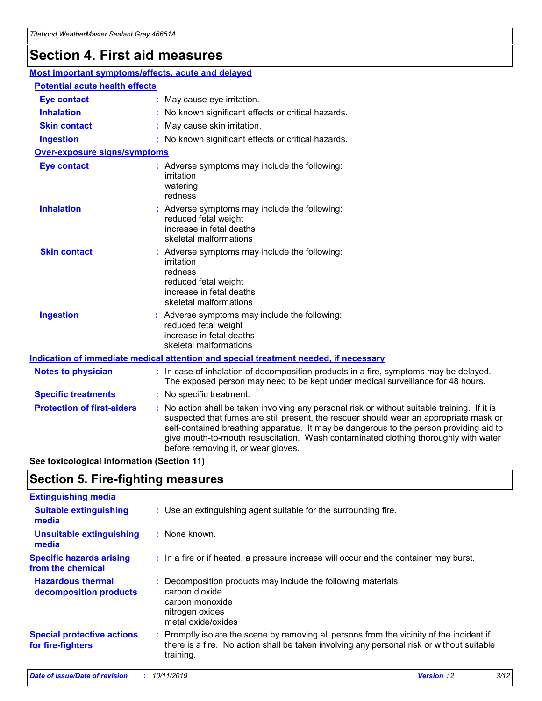## **Section 4. First aid measures**

| Most important symptoms/effects, acute and delayed |                                       |                                                                                                                                                                                                                                                                                                                                                                                                                 |  |  |  |
|----------------------------------------------------|---------------------------------------|-----------------------------------------------------------------------------------------------------------------------------------------------------------------------------------------------------------------------------------------------------------------------------------------------------------------------------------------------------------------------------------------------------------------|--|--|--|
|                                                    | <b>Potential acute health effects</b> |                                                                                                                                                                                                                                                                                                                                                                                                                 |  |  |  |
| <b>Eye contact</b>                                 |                                       | : May cause eye irritation.                                                                                                                                                                                                                                                                                                                                                                                     |  |  |  |
| <b>Inhalation</b>                                  |                                       | : No known significant effects or critical hazards.                                                                                                                                                                                                                                                                                                                                                             |  |  |  |
| <b>Skin contact</b>                                |                                       | : May cause skin irritation.                                                                                                                                                                                                                                                                                                                                                                                    |  |  |  |
| <b>Ingestion</b>                                   |                                       | : No known significant effects or critical hazards.                                                                                                                                                                                                                                                                                                                                                             |  |  |  |
| <b>Over-exposure signs/symptoms</b>                |                                       |                                                                                                                                                                                                                                                                                                                                                                                                                 |  |  |  |
| <b>Eye contact</b>                                 |                                       | : Adverse symptoms may include the following:<br>irritation<br>watering<br>redness                                                                                                                                                                                                                                                                                                                              |  |  |  |
| <b>Inhalation</b>                                  |                                       | : Adverse symptoms may include the following:<br>reduced fetal weight<br>increase in fetal deaths<br>skeletal malformations                                                                                                                                                                                                                                                                                     |  |  |  |
| <b>Skin contact</b>                                |                                       | : Adverse symptoms may include the following:<br>irritation<br>redness<br>reduced fetal weight<br>increase in fetal deaths<br>skeletal malformations                                                                                                                                                                                                                                                            |  |  |  |
| <b>Ingestion</b>                                   |                                       | : Adverse symptoms may include the following:<br>reduced fetal weight<br>increase in fetal deaths<br>skeletal malformations                                                                                                                                                                                                                                                                                     |  |  |  |
|                                                    |                                       | <b>Indication of immediate medical attention and special treatment needed, if necessary</b>                                                                                                                                                                                                                                                                                                                     |  |  |  |
| <b>Notes to physician</b>                          |                                       | : In case of inhalation of decomposition products in a fire, symptoms may be delayed.<br>The exposed person may need to be kept under medical surveillance for 48 hours.                                                                                                                                                                                                                                        |  |  |  |
| <b>Specific treatments</b>                         |                                       | : No specific treatment.                                                                                                                                                                                                                                                                                                                                                                                        |  |  |  |
| <b>Protection of first-aiders</b>                  |                                       | : No action shall be taken involving any personal risk or without suitable training. If it is<br>suspected that fumes are still present, the rescuer should wear an appropriate mask or<br>self-contained breathing apparatus. It may be dangerous to the person providing aid to<br>give mouth-to-mouth resuscitation. Wash contaminated clothing thoroughly with water<br>before removing it, or wear gloves. |  |  |  |

**See toxicological information (Section 11)**

### **Section 5. Fire-fighting measures**

| <b>Extinguishing media</b>                             |                                                                                                                                                                                                     |
|--------------------------------------------------------|-----------------------------------------------------------------------------------------------------------------------------------------------------------------------------------------------------|
| <b>Suitable extinguishing</b><br>media                 | : Use an extinguishing agent suitable for the surrounding fire.                                                                                                                                     |
| <b>Unsuitable extinguishing</b><br>media               | : None known.                                                                                                                                                                                       |
| <b>Specific hazards arising</b><br>from the chemical   | : In a fire or if heated, a pressure increase will occur and the container may burst.                                                                                                               |
| <b>Hazardous thermal</b><br>decomposition products     | : Decomposition products may include the following materials:<br>carbon dioxide<br>carbon monoxide<br>nitrogen oxides<br>metal oxide/oxides                                                         |
| <b>Special protective actions</b><br>for fire-fighters | : Promptly isolate the scene by removing all persons from the vicinity of the incident if<br>there is a fire. No action shall be taken involving any personal risk or without suitable<br>training. |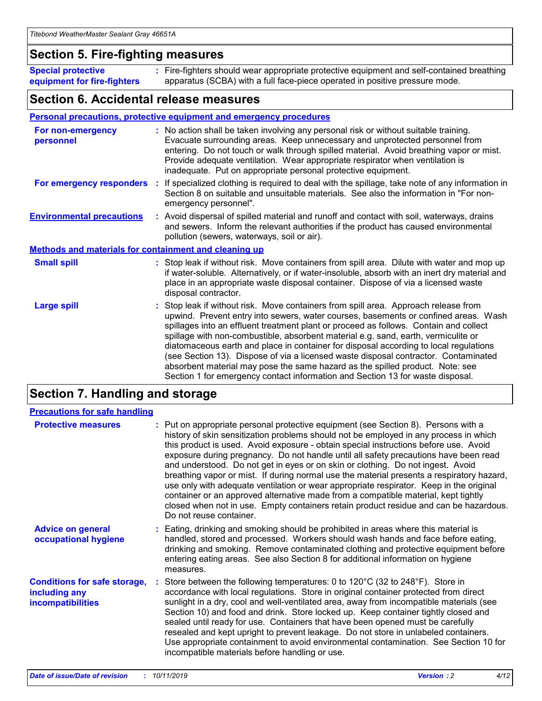### **Section 5. Fire-fighting measures**

**Special protective equipment for fire-fighters** Fire-fighters should wear appropriate protective equipment and self-contained breathing **:** apparatus (SCBA) with a full face-piece operated in positive pressure mode.

### **Section 6. Accidental release measures**

#### **Personal precautions, protective equipment and emergency procedures**

| For non-emergency<br>personnel                               | : No action shall be taken involving any personal risk or without suitable training.<br>Evacuate surrounding areas. Keep unnecessary and unprotected personnel from<br>entering. Do not touch or walk through spilled material. Avoid breathing vapor or mist.<br>Provide adequate ventilation. Wear appropriate respirator when ventilation is<br>inadequate. Put on appropriate personal protective equipment.                                                                                                                                                                                                                                                                                             |
|--------------------------------------------------------------|--------------------------------------------------------------------------------------------------------------------------------------------------------------------------------------------------------------------------------------------------------------------------------------------------------------------------------------------------------------------------------------------------------------------------------------------------------------------------------------------------------------------------------------------------------------------------------------------------------------------------------------------------------------------------------------------------------------|
| For emergency responders                                     | : If specialized clothing is required to deal with the spillage, take note of any information in<br>Section 8 on suitable and unsuitable materials. See also the information in "For non-<br>emergency personnel".                                                                                                                                                                                                                                                                                                                                                                                                                                                                                           |
| <b>Environmental precautions</b>                             | : Avoid dispersal of spilled material and runoff and contact with soil, waterways, drains<br>and sewers. Inform the relevant authorities if the product has caused environmental<br>pollution (sewers, waterways, soil or air).                                                                                                                                                                                                                                                                                                                                                                                                                                                                              |
| <b>Methods and materials for containment and cleaning up</b> |                                                                                                                                                                                                                                                                                                                                                                                                                                                                                                                                                                                                                                                                                                              |
| <b>Small spill</b>                                           | : Stop leak if without risk. Move containers from spill area. Dilute with water and mop up<br>if water-soluble. Alternatively, or if water-insoluble, absorb with an inert dry material and<br>place in an appropriate waste disposal container. Dispose of via a licensed waste<br>disposal contractor.                                                                                                                                                                                                                                                                                                                                                                                                     |
| <b>Large spill</b>                                           | : Stop leak if without risk. Move containers from spill area. Approach release from<br>upwind. Prevent entry into sewers, water courses, basements or confined areas. Wash<br>spillages into an effluent treatment plant or proceed as follows. Contain and collect<br>spillage with non-combustible, absorbent material e.g. sand, earth, vermiculite or<br>diatomaceous earth and place in container for disposal according to local regulations<br>(see Section 13). Dispose of via a licensed waste disposal contractor. Contaminated<br>absorbent material may pose the same hazard as the spilled product. Note: see<br>Section 1 for emergency contact information and Section 13 for waste disposal. |

### **Section 7. Handling and storage**

| <b>Precautions for safe handling</b>                                             |                                                                                                                                                                                                                                                                                                                                                                                                                                                                                                                                                                                                                                                                                                                                                                                                                                                  |
|----------------------------------------------------------------------------------|--------------------------------------------------------------------------------------------------------------------------------------------------------------------------------------------------------------------------------------------------------------------------------------------------------------------------------------------------------------------------------------------------------------------------------------------------------------------------------------------------------------------------------------------------------------------------------------------------------------------------------------------------------------------------------------------------------------------------------------------------------------------------------------------------------------------------------------------------|
| <b>Protective measures</b>                                                       | : Put on appropriate personal protective equipment (see Section 8). Persons with a<br>history of skin sensitization problems should not be employed in any process in which<br>this product is used. Avoid exposure - obtain special instructions before use. Avoid<br>exposure during pregnancy. Do not handle until all safety precautions have been read<br>and understood. Do not get in eyes or on skin or clothing. Do not ingest. Avoid<br>breathing vapor or mist. If during normal use the material presents a respiratory hazard,<br>use only with adequate ventilation or wear appropriate respirator. Keep in the original<br>container or an approved alternative made from a compatible material, kept tightly<br>closed when not in use. Empty containers retain product residue and can be hazardous.<br>Do not reuse container. |
| <b>Advice on general</b><br>occupational hygiene                                 | : Eating, drinking and smoking should be prohibited in areas where this material is<br>handled, stored and processed. Workers should wash hands and face before eating,<br>drinking and smoking. Remove contaminated clothing and protective equipment before<br>entering eating areas. See also Section 8 for additional information on hygiene<br>measures.                                                                                                                                                                                                                                                                                                                                                                                                                                                                                    |
| <b>Conditions for safe storage,</b><br>including any<br><b>incompatibilities</b> | Store between the following temperatures: 0 to 120°C (32 to 248°F). Store in<br>accordance with local regulations. Store in original container protected from direct<br>sunlight in a dry, cool and well-ventilated area, away from incompatible materials (see<br>Section 10) and food and drink. Store locked up. Keep container tightly closed and<br>sealed until ready for use. Containers that have been opened must be carefully<br>resealed and kept upright to prevent leakage. Do not store in unlabeled containers.<br>Use appropriate containment to avoid environmental contamination. See Section 10 for<br>incompatible materials before handling or use.                                                                                                                                                                         |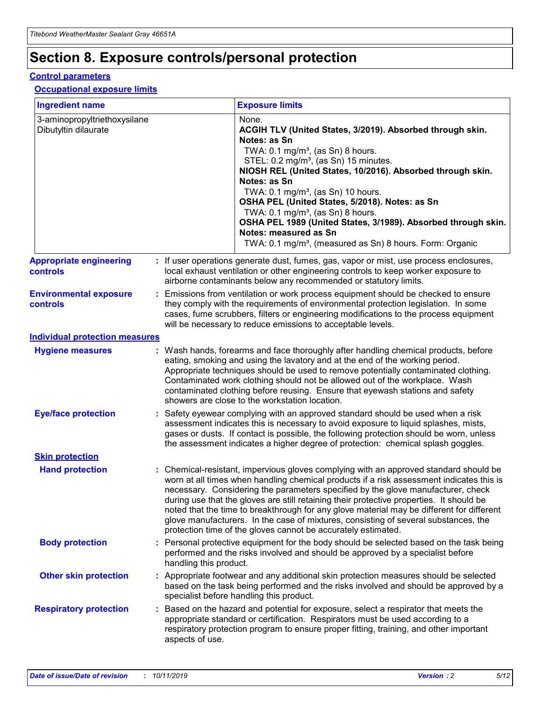## **Section 8. Exposure controls/personal protection**

#### **Control parameters**

#### **Occupational exposure limits**

| <b>Ingredient name</b>                               |    |                        | <b>Exposure limits</b>                                                                                                                                                                                                                                                                                                                                                                                                                                                                                                                                                                                                 |
|------------------------------------------------------|----|------------------------|------------------------------------------------------------------------------------------------------------------------------------------------------------------------------------------------------------------------------------------------------------------------------------------------------------------------------------------------------------------------------------------------------------------------------------------------------------------------------------------------------------------------------------------------------------------------------------------------------------------------|
| 3-aminopropyltriethoxysilane<br>Dibutyltin dilaurate |    |                        | None.<br>ACGIH TLV (United States, 3/2019). Absorbed through skin.<br>Notes: as Sn<br>TWA: $0.1 \text{ mg/m}^3$ , (as Sn) 8 hours.<br>STEL: 0.2 mg/m <sup>3</sup> , (as Sn) 15 minutes.<br>NIOSH REL (United States, 10/2016). Absorbed through skin.<br>Notes: as Sn<br>TWA: 0.1 mg/m <sup>3</sup> , (as Sn) 10 hours.<br>OSHA PEL (United States, 5/2018). Notes: as Sn<br>TWA: $0.1 \text{ mg/m}^3$ , (as Sn) 8 hours.<br>OSHA PEL 1989 (United States, 3/1989). Absorbed through skin.<br>Notes: measured as Sn<br>TWA: 0.1 mg/m <sup>3</sup> , (measured as Sn) 8 hours. Form: Organic                            |
| <b>Appropriate engineering</b><br>controls           |    |                        | : If user operations generate dust, fumes, gas, vapor or mist, use process enclosures,<br>local exhaust ventilation or other engineering controls to keep worker exposure to<br>airborne contaminants below any recommended or statutory limits.                                                                                                                                                                                                                                                                                                                                                                       |
| <b>Environmental exposure</b><br>controls            |    |                        | Emissions from ventilation or work process equipment should be checked to ensure<br>they comply with the requirements of environmental protection legislation. In some<br>cases, fume scrubbers, filters or engineering modifications to the process equipment<br>will be necessary to reduce emissions to acceptable levels.                                                                                                                                                                                                                                                                                          |
| <b>Individual protection measures</b>                |    |                        |                                                                                                                                                                                                                                                                                                                                                                                                                                                                                                                                                                                                                        |
| <b>Hygiene measures</b>                              |    |                        | : Wash hands, forearms and face thoroughly after handling chemical products, before<br>eating, smoking and using the lavatory and at the end of the working period.<br>Appropriate techniques should be used to remove potentially contaminated clothing.<br>Contaminated work clothing should not be allowed out of the workplace. Wash<br>contaminated clothing before reusing. Ensure that eyewash stations and safety<br>showers are close to the workstation location.                                                                                                                                            |
| <b>Eye/face protection</b>                           |    |                        | : Safety eyewear complying with an approved standard should be used when a risk<br>assessment indicates this is necessary to avoid exposure to liquid splashes, mists,<br>gases or dusts. If contact is possible, the following protection should be worn, unless<br>the assessment indicates a higher degree of protection: chemical splash goggles.                                                                                                                                                                                                                                                                  |
| <b>Skin protection</b>                               |    |                        |                                                                                                                                                                                                                                                                                                                                                                                                                                                                                                                                                                                                                        |
| <b>Hand protection</b>                               |    |                        | : Chemical-resistant, impervious gloves complying with an approved standard should be<br>worn at all times when handling chemical products if a risk assessment indicates this is<br>necessary. Considering the parameters specified by the glove manufacturer, check<br>during use that the gloves are still retaining their protective properties. It should be<br>noted that the time to breakthrough for any glove material may be different for different<br>glove manufacturers. In the case of mixtures, consisting of several substances, the<br>protection time of the gloves cannot be accurately estimated. |
| <b>Body protection</b>                               |    | handling this product. | Personal protective equipment for the body should be selected based on the task being<br>performed and the risks involved and should be approved by a specialist before                                                                                                                                                                                                                                                                                                                                                                                                                                                |
| <b>Other skin protection</b>                         |    |                        | : Appropriate footwear and any additional skin protection measures should be selected<br>based on the task being performed and the risks involved and should be approved by a<br>specialist before handling this product.                                                                                                                                                                                                                                                                                                                                                                                              |
| <b>Respiratory protection</b>                        | ÷. | aspects of use.        | Based on the hazard and potential for exposure, select a respirator that meets the<br>appropriate standard or certification. Respirators must be used according to a<br>respiratory protection program to ensure proper fitting, training, and other important                                                                                                                                                                                                                                                                                                                                                         |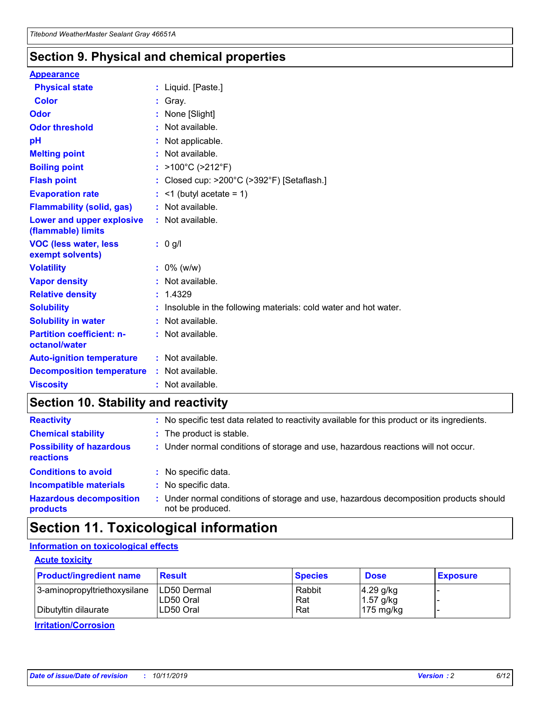### **Section 9. Physical and chemical properties**

#### **Appearance**

| <b>Physical state</b>                             | : Liquid. [Paste.]                                                |
|---------------------------------------------------|-------------------------------------------------------------------|
| Color                                             | Gray.                                                             |
| Odor                                              | None [Slight]                                                     |
| <b>Odor threshold</b>                             | : Not available.                                                  |
| рH                                                | : Not applicable.                                                 |
| <b>Melting point</b>                              | : Not available.                                                  |
| <b>Boiling point</b>                              | : $>100^{\circ}$ C ( $>212^{\circ}$ F)                            |
| <b>Flash point</b>                                | : Closed cup: $>200^{\circ}$ C ( $>392^{\circ}$ F) [Setaflash.]   |
| <b>Evaporation rate</b>                           | $:$ <1 (butyl acetate = 1)                                        |
| <b>Flammability (solid, gas)</b>                  | : Not available.                                                  |
| Lower and upper explosive<br>(flammable) limits   | : Not available.                                                  |
| <b>VOC (less water, less</b><br>exempt solvents)  | $: 0$ g/l                                                         |
| <b>Volatility</b>                                 | $: 0\%$ (w/w)                                                     |
| <b>Vapor density</b>                              | : Not available.                                                  |
| <b>Relative density</b>                           | : 1.4329                                                          |
| <b>Solubility</b>                                 | : Insoluble in the following materials: cold water and hot water. |
| <b>Solubility in water</b>                        | : Not available.                                                  |
| <b>Partition coefficient: n-</b><br>octanol/water | : Not available.                                                  |
| <b>Auto-ignition temperature</b>                  | $:$ Not available.                                                |
| <b>Decomposition temperature</b>                  | : Not available.                                                  |
| <b>Viscosity</b>                                  | : Not available.                                                  |

### **Section 10. Stability and reactivity**

| <b>Reactivity</b>                            |    | : No specific test data related to reactivity available for this product or its ingredients.            |
|----------------------------------------------|----|---------------------------------------------------------------------------------------------------------|
| <b>Chemical stability</b>                    |    | : The product is stable.                                                                                |
| <b>Possibility of hazardous</b><br>reactions |    | : Under normal conditions of storage and use, hazardous reactions will not occur.                       |
| <b>Conditions to avoid</b>                   |    | : No specific data.                                                                                     |
| <b>Incompatible materials</b>                | ٠. | No specific data.                                                                                       |
| <b>Hazardous decomposition</b><br>products   | ÷. | Under normal conditions of storage and use, hazardous decomposition products should<br>not be produced. |

### **Section 11. Toxicological information**

#### **Information on toxicological effects**

#### **Acute toxicity**

| <b>Product/ingredient name</b> | <b>Result</b>           | <b>Species</b> | <b>Dose</b>                | <b>Exposure</b> |
|--------------------------------|-------------------------|----------------|----------------------------|-----------------|
| 3-aminopropyltriethoxysilane   | <b>ILD50 Dermal</b>     | Rabbit         | 4.29 g/kg                  |                 |
| Dibutyltin dilaurate           | ILD50 Oral<br>LD50 Oral | Rat<br>Rat     | $1.57$ g/kg<br>175 $mg/kg$ |                 |
|                                |                         |                |                            |                 |

**Irritation/Corrosion**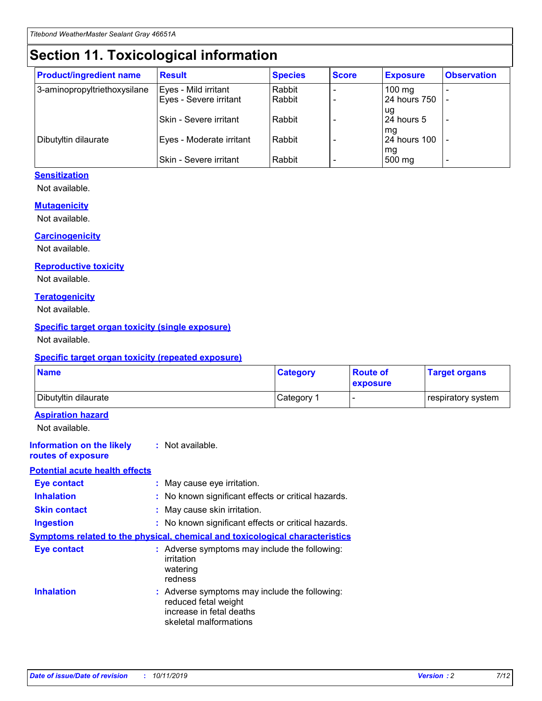## **Section 11. Toxicological information**

| <b>Product/ingredient name</b> | <b>Result</b>            | <b>Species</b> | <b>Score</b> | <b>Exposure</b>           | <b>Observation</b> |
|--------------------------------|--------------------------|----------------|--------------|---------------------------|--------------------|
| 3-aminopropyltriethoxysilane   | Eyes - Mild irritant     | Rabbit         |              | $100$ mg                  |                    |
|                                | Eyes - Severe irritant   | Rabbit         |              | 24 hours 750              |                    |
|                                |                          |                |              | ug                        |                    |
|                                | Skin - Severe irritant   | Rabbit         |              | 24 hours 5                | -                  |
| Dibutyltin dilaurate           | Eyes - Moderate irritant | Rabbit         |              | mg<br><b>24 hours 100</b> |                    |
|                                |                          |                |              | mg                        |                    |
|                                | Skin - Severe irritant   | Rabbit         |              | 500 mg                    | -                  |

#### **Sensitization**

Not available.

#### **Mutagenicity**

Not available.

#### **Carcinogenicity**

Not available.

#### **Reproductive toxicity**

Not available.

#### **Teratogenicity**

Not available.

#### **Specific target organ toxicity (single exposure)**

Not available.

#### **Specific target organ toxicity (repeated exposure)**

| <b>Name</b>                                                                  |                                                                                                                             | <b>Category</b> | <b>Route of</b><br>exposure  | <b>Target organs</b> |
|------------------------------------------------------------------------------|-----------------------------------------------------------------------------------------------------------------------------|-----------------|------------------------------|----------------------|
| Dibutyltin dilaurate                                                         |                                                                                                                             | Category 1      | $\qquad \qquad \blacksquare$ | respiratory system   |
| <b>Aspiration hazard</b><br>Not available.                                   |                                                                                                                             |                 |                              |                      |
| <b>Information on the likely</b><br>routes of exposure                       | : Not available.                                                                                                            |                 |                              |                      |
| <b>Potential acute health effects</b>                                        |                                                                                                                             |                 |                              |                      |
| <b>Eye contact</b>                                                           | : May cause eye irritation.                                                                                                 |                 |                              |                      |
| <b>Inhalation</b>                                                            | : No known significant effects or critical hazards.                                                                         |                 |                              |                      |
| <b>Skin contact</b>                                                          | : May cause skin irritation.                                                                                                |                 |                              |                      |
| <b>Ingestion</b>                                                             | : No known significant effects or critical hazards.                                                                         |                 |                              |                      |
| Symptoms related to the physical, chemical and toxicological characteristics |                                                                                                                             |                 |                              |                      |
| <b>Eye contact</b>                                                           | : Adverse symptoms may include the following:<br>irritation<br>watering<br>redness                                          |                 |                              |                      |
| <b>Inhalation</b>                                                            | : Adverse symptoms may include the following:<br>reduced fetal weight<br>increase in fetal deaths<br>skeletal malformations |                 |                              |                      |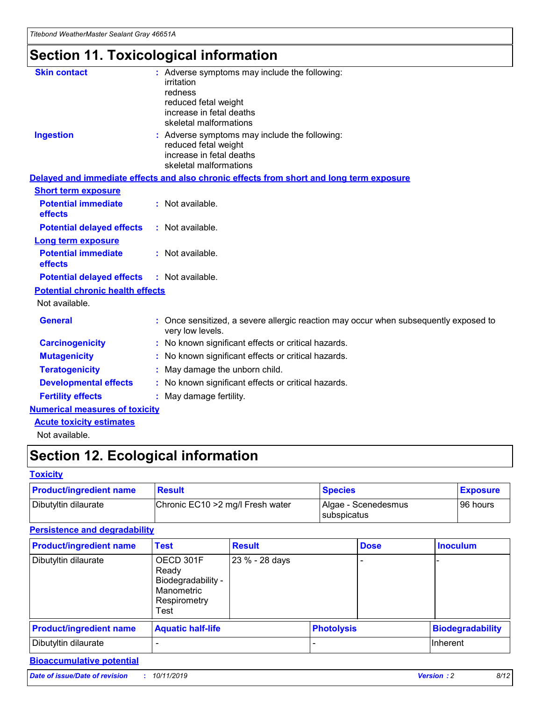## **Section 11. Toxicological information**

| <b>Skin contact</b>                     | : Adverse symptoms may include the following:<br>irritation<br>redness<br>reduced fetal weight<br>increase in fetal deaths<br>skeletal malformations |
|-----------------------------------------|------------------------------------------------------------------------------------------------------------------------------------------------------|
| <b>Ingestion</b>                        | : Adverse symptoms may include the following:<br>reduced fetal weight<br>increase in fetal deaths<br>skeletal malformations                          |
|                                         | Delayed and immediate effects and also chronic effects from short and long term exposure                                                             |
| <b>Short term exposure</b>              |                                                                                                                                                      |
| <b>Potential immediate</b><br>effects   | : Not available.                                                                                                                                     |
| <b>Potential delayed effects</b>        | : Not available.                                                                                                                                     |
| <b>Long term exposure</b>               |                                                                                                                                                      |
| <b>Potential immediate</b><br>effects   | : Not available.                                                                                                                                     |
| <b>Potential delayed effects</b>        | : Not available.                                                                                                                                     |
| <b>Potential chronic health effects</b> |                                                                                                                                                      |
| Not available.                          |                                                                                                                                                      |
| <b>General</b>                          | : Once sensitized, a severe allergic reaction may occur when subsequently exposed to<br>very low levels.                                             |
| <b>Carcinogenicity</b>                  | : No known significant effects or critical hazards.                                                                                                  |
| <b>Mutagenicity</b>                     | No known significant effects or critical hazards.                                                                                                    |
| <b>Teratogenicity</b>                   | May damage the unborn child.                                                                                                                         |
| <b>Developmental effects</b>            | No known significant effects or critical hazards.                                                                                                    |
| <b>Fertility effects</b>                | : May damage fertility.                                                                                                                              |
| <b>Numerical measures of toxicity</b>   |                                                                                                                                                      |
| <b>Acute toxicity estimates</b>         |                                                                                                                                                      |
|                                         |                                                                                                                                                      |

Not available.

## **Section 12. Ecological information**

#### **Toxicity**

| <b>Product/ingredient name</b> | <b>Result</b>                     | <b>Species</b>                       | <b>Exposure</b> |
|--------------------------------|-----------------------------------|--------------------------------------|-----------------|
| Dibutyltin dilaurate           | Chronic EC10 > 2 mg/l Fresh water | Algae - Scenedesmus<br>I subspicatus | l 96 hours      |

#### **Persistence and degradability**

| <b>Product/ingredient name</b> | <b>Test</b>                                                                    | <b>Result</b>  |                   | <b>Dose</b> | <b>Inoculum</b>         |
|--------------------------------|--------------------------------------------------------------------------------|----------------|-------------------|-------------|-------------------------|
| Dibutyltin dilaurate           | OECD 301F<br>Ready<br>Biodegradability -<br>Manometric<br>Respirometry<br>Test | 23 % - 28 days |                   |             |                         |
| <b>Product/ingredient name</b> | <b>Aquatic half-life</b>                                                       |                | <b>Photolysis</b> |             | <b>Biodegradability</b> |
| Dibutyltin dilaurate           |                                                                                |                |                   |             | Inherent                |

#### **Bioaccumulative potential**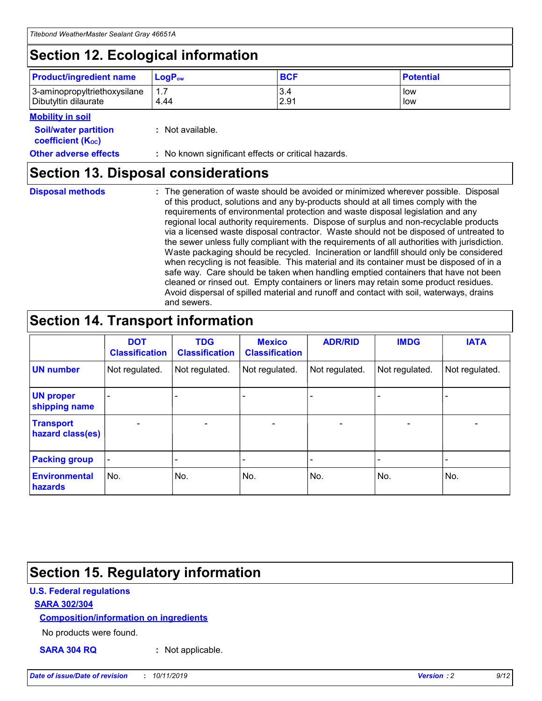## **Section 12. Ecological information**

| <b>Product/ingredient name</b> | $LoaPow$ | <b>BCF</b> | <b>Potential</b> |
|--------------------------------|----------|------------|------------------|
| 3-aminopropyltriethoxysilane   | 1.7      | 3.4        | low              |
| Dibutyltin dilaurate           | 4.44     | 2.91       | low              |

#### **Mobility in soil**

| <i></i>                                                       |                                                     |
|---------------------------------------------------------------|-----------------------------------------------------|
| <b>Soil/water partition</b><br>coefficient (K <sub>oc</sub> ) | : Not available.                                    |
| <b>Other adverse effects</b>                                  | : No known significant effects or critical hazards. |

### **Section 13. Disposal considerations**

**Disposal methods :**

The generation of waste should be avoided or minimized wherever possible. Disposal of this product, solutions and any by-products should at all times comply with the requirements of environmental protection and waste disposal legislation and any regional local authority requirements. Dispose of surplus and non-recyclable products via a licensed waste disposal contractor. Waste should not be disposed of untreated to the sewer unless fully compliant with the requirements of all authorities with jurisdiction. Waste packaging should be recycled. Incineration or landfill should only be considered when recycling is not feasible. This material and its container must be disposed of in a safe way. Care should be taken when handling emptied containers that have not been cleaned or rinsed out. Empty containers or liners may retain some product residues. Avoid dispersal of spilled material and runoff and contact with soil, waterways, drains and sewers.

## **Section 14. Transport information**

|                                      | <b>DOT</b><br><b>Classification</b> | <b>TDG</b><br><b>Classification</b> | <b>Mexico</b><br><b>Classification</b> | <b>ADR/RID</b>               | <b>IMDG</b>    | <b>IATA</b>              |
|--------------------------------------|-------------------------------------|-------------------------------------|----------------------------------------|------------------------------|----------------|--------------------------|
| <b>UN number</b>                     | Not regulated.                      | Not regulated.                      | Not regulated.                         | Not regulated.               | Not regulated. | Not regulated.           |
| <b>UN proper</b><br>shipping name    |                                     |                                     |                                        |                              |                |                          |
| <b>Transport</b><br>hazard class(es) | $\blacksquare$                      | $\overline{\phantom{0}}$            | $\overline{\phantom{a}}$               | $\qquad \qquad \blacksquare$ | $\blacksquare$ | $\overline{\phantom{0}}$ |
| <b>Packing group</b>                 | $\overline{\phantom{a}}$            | -                                   |                                        | -                            |                | -                        |
| <b>Environmental</b><br>hazards      | No.                                 | No.                                 | No.                                    | No.                          | No.            | No.                      |

## **Section 15. Regulatory information**

#### **U.S. Federal regulations**

#### **SARA 302/304**

#### **Composition/information on ingredients**

No products were found.

**SARA 304 RQ :** Not applicable.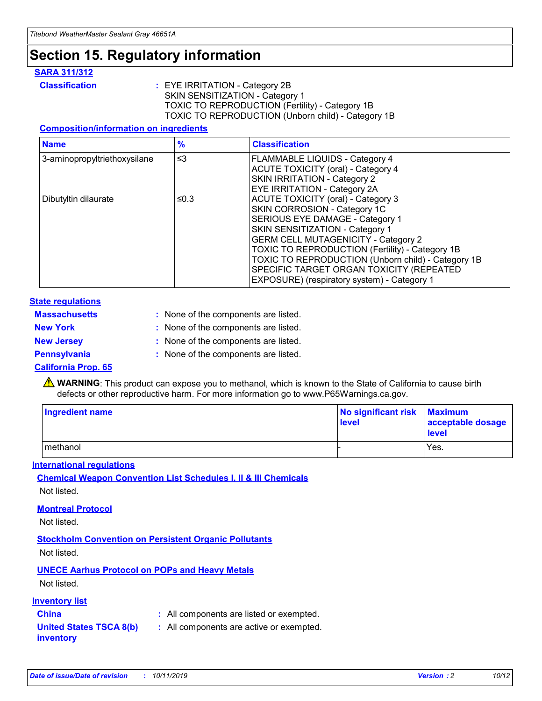## **Section 15. Regulatory information**

#### **SARA 311/312**

**Classification :** EYE IRRITATION - Category 2B SKIN SENSITIZATION - Category 1 TOXIC TO REPRODUCTION (Fertility) - Category 1B TOXIC TO REPRODUCTION (Unborn child) - Category 1B

#### **Composition/information on ingredients**

| <b>Name</b>                  | $\frac{9}{6}$ | <b>Classification</b>                                                                                            |
|------------------------------|---------------|------------------------------------------------------------------------------------------------------------------|
| 3-aminopropyltriethoxysilane | $\leq$ 3      | <b>FLAMMABLE LIQUIDS - Category 4</b><br><b>ACUTE TOXICITY (oral) - Category 4</b>                               |
|                              |               | SKIN IRRITATION - Category 2<br>EYE IRRITATION - Category 2A                                                     |
| Dibutyltin dilaurate         | ≤0.3          | ACUTE TOXICITY (oral) - Category 3<br>SKIN CORROSION - Category 1C                                               |
|                              |               | SERIOUS EYE DAMAGE - Category 1<br>SKIN SENSITIZATION - Category 1<br><b>GERM CELL MUTAGENICITY - Category 2</b> |
|                              |               | TOXIC TO REPRODUCTION (Fertility) - Category 1B<br>TOXIC TO REPRODUCTION (Unborn child) - Category 1B            |
|                              |               | SPECIFIC TARGET ORGAN TOXICITY (REPEATED<br>EXPOSURE) (respiratory system) - Category 1                          |

#### **State regulations**

| <b>Massachusetts</b> | : None of the components are listed. |
|----------------------|--------------------------------------|
| <b>New York</b>      | : None of the components are listed. |
| <b>New Jersey</b>    | : None of the components are listed. |
| <b>Pennsylvania</b>  | : None of the components are listed. |

#### **California Prop. 65**

**A** WARNING: This product can expose you to methanol, which is known to the State of California to cause birth defects or other reproductive harm. For more information go to www.P65Warnings.ca.gov.

| <b>Ingredient name</b> | No significant risk Maximum<br>level | acceptable dosage<br>level |
|------------------------|--------------------------------------|----------------------------|
| methanol               |                                      | Yes.                       |

#### **International regulations**

**Chemical Weapon Convention List Schedules I, II & III Chemicals** Not listed.

#### **Montreal Protocol**

Not listed.

#### **Stockholm Convention on Persistent Organic Pollutants**

Not listed.

#### **UNECE Aarhus Protocol on POPs and Heavy Metals**

Not listed.

#### **Inventory list**

### **China :** All components are listed or exempted.

**United States TSCA 8(b) inventory :** All components are active or exempted.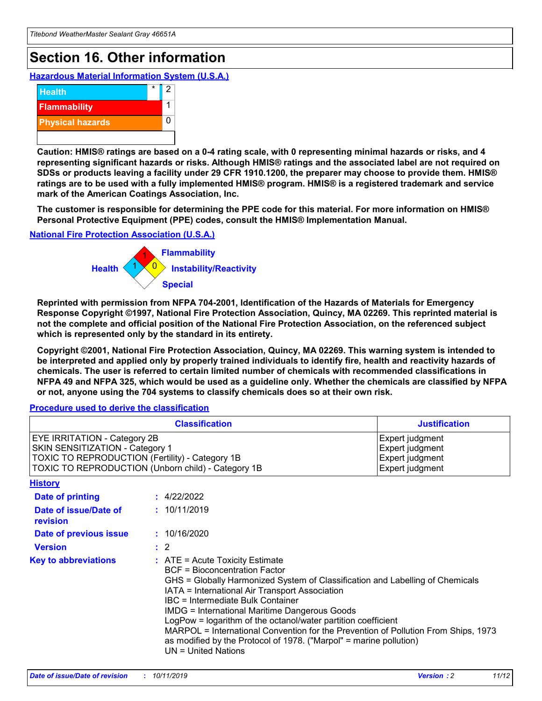## **Section 16. Other information**

**Hazardous Material Information System (U.S.A.)**



**Caution: HMIS® ratings are based on a 0-4 rating scale, with 0 representing minimal hazards or risks, and 4 representing significant hazards or risks. Although HMIS® ratings and the associated label are not required on SDSs or products leaving a facility under 29 CFR 1910.1200, the preparer may choose to provide them. HMIS® ratings are to be used with a fully implemented HMIS® program. HMIS® is a registered trademark and service mark of the American Coatings Association, Inc.**

**The customer is responsible for determining the PPE code for this material. For more information on HMIS® Personal Protective Equipment (PPE) codes, consult the HMIS® Implementation Manual.**

#### **National Fire Protection Association (U.S.A.)**



**Reprinted with permission from NFPA 704-2001, Identification of the Hazards of Materials for Emergency Response Copyright ©1997, National Fire Protection Association, Quincy, MA 02269. This reprinted material is not the complete and official position of the National Fire Protection Association, on the referenced subject which is represented only by the standard in its entirety.**

**Copyright ©2001, National Fire Protection Association, Quincy, MA 02269. This warning system is intended to be interpreted and applied only by properly trained individuals to identify fire, health and reactivity hazards of chemicals. The user is referred to certain limited number of chemicals with recommended classifications in NFPA 49 and NFPA 325, which would be used as a guideline only. Whether the chemicals are classified by NFPA or not, anyone using the 704 systems to classify chemicals does so at their own risk.**

#### **Procedure used to derive the classification**

| <b>Classification</b>                                                                                                                                                    |                                                                                                                                                                                                                                                                                                                                                                                                                                                                                                                                                               | <b>Justification</b>                                                     |
|--------------------------------------------------------------------------------------------------------------------------------------------------------------------------|---------------------------------------------------------------------------------------------------------------------------------------------------------------------------------------------------------------------------------------------------------------------------------------------------------------------------------------------------------------------------------------------------------------------------------------------------------------------------------------------------------------------------------------------------------------|--------------------------------------------------------------------------|
| EYE IRRITATION - Category 2B<br>SKIN SENSITIZATION - Category 1<br>TOXIC TO REPRODUCTION (Fertility) - Category 1B<br>TOXIC TO REPRODUCTION (Unborn child) - Category 1B |                                                                                                                                                                                                                                                                                                                                                                                                                                                                                                                                                               | Expert judgment<br>Expert judgment<br>Expert judgment<br>Expert judgment |
| <b>History</b>                                                                                                                                                           |                                                                                                                                                                                                                                                                                                                                                                                                                                                                                                                                                               |                                                                          |
| <b>Date of printing</b>                                                                                                                                                  | : 4/22/2022                                                                                                                                                                                                                                                                                                                                                                                                                                                                                                                                                   |                                                                          |
| Date of issue/Date of<br>revision                                                                                                                                        | : 10/11/2019                                                                                                                                                                                                                                                                                                                                                                                                                                                                                                                                                  |                                                                          |
| Date of previous issue                                                                                                                                                   | : 10/16/2020                                                                                                                                                                                                                                                                                                                                                                                                                                                                                                                                                  |                                                                          |
| <b>Version</b>                                                                                                                                                           | $\therefore$ 2                                                                                                                                                                                                                                                                                                                                                                                                                                                                                                                                                |                                                                          |
| <b>Key to abbreviations</b>                                                                                                                                              | $:$ ATE = Acute Toxicity Estimate<br><b>BCF</b> = Bioconcentration Factor<br>GHS = Globally Harmonized System of Classification and Labelling of Chemicals<br>IATA = International Air Transport Association<br>IBC = Intermediate Bulk Container<br><b>IMDG = International Maritime Dangerous Goods</b><br>LogPow = logarithm of the octanol/water partition coefficient<br>MARPOL = International Convention for the Prevention of Pollution From Ships, 1973<br>as modified by the Protocol of 1978. ("Marpol" = marine pollution)<br>UN = United Nations |                                                                          |